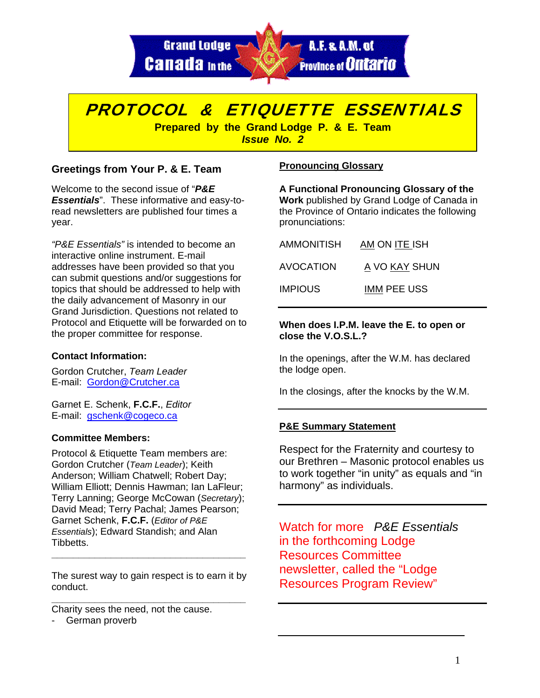

# PROTOCOL & ETIQUETTE ESSENTIALS

i. *German Proverb Issue No. 2*  **Prepared by the Grand Lodge P. & E. Team** 

# **Greetings from Your P. & E. Team**

Welcome to the second issue of "*P&E Essentials*". These informative and easy-toread newsletters are published four times a year.

*"P&E Essentials"* is intended to become an interactive online instrument. E-mail addresses have been provided so that you can submit questions and/or suggestions for topics that should be addressed to help with the daily advancement of Masonry in our Grand Jurisdiction. Questions not related to Protocol and Etiquette will be forwarded on to the proper committee for response.

# **Contact Information:**

Gordon Crutcher, *Team Leader* E-mail: Gordon@Crutcher.ca

Garnet E. Schenk, **F.C.F.**, *Editor* E-mail: gschenk@cogeco.ca

#### **Committee Members:**

Protocol & Etiquette Team members are: Gordon Crutcher (*Team Leader*); Keith Anderson; William Chatwell; Robert Day; William Elliott; Dennis Hawman; Ian LaFleur; Terry Lanning; George McCowan (*Secretary*); David Mead; Terry Pachal; James Pearson; Garnet Schenk, **F.C.F.** (*Editor of P&E Essentials*); Edward Standish; and Alan Tibbetts.

The surest way to gain respect is to earn it by conduct. **\_\_\_\_\_\_\_\_\_\_\_\_\_\_\_\_\_\_\_\_\_\_\_\_\_\_\_\_\_\_\_\_\_\_\_\_** 

**\_\_\_\_\_\_\_\_\_\_\_\_\_\_\_\_\_\_\_\_\_\_\_\_\_\_\_\_\_\_\_\_\_\_\_\_** 

Charity sees the need, not the cause.

- German proverb

# **Pronouncing Glossary**

**A Functional Pronouncing Glossary of the Work** published by Grand Lodge of Canada in the Province of Ontario indicates the following pronunciations:

| AMMONITISH     | AM ON ITE ISH      |  |
|----------------|--------------------|--|
| AVOCATION      | A VO KAY SHUN      |  |
| <b>IMPIOUS</b> | <b>IMM PEE USS</b> |  |

#### **When does I.P.M. leave the E. to open or close the V.O.S.L.?**

In the openings, after the W.M. has declared the lodge open.

In the closings, after the knocks by the W.M.

# **P&E Summary Statement**

Respect for the Fraternity and courtesy to our Brethren – Masonic protocol enables us to work together "in unity" as equals and "in harmony" as individuals.

Watch for more *P&E Essentials* in the forthcoming Lodge Resources Committee newsletter, called the "Lodge Resources Program Review"